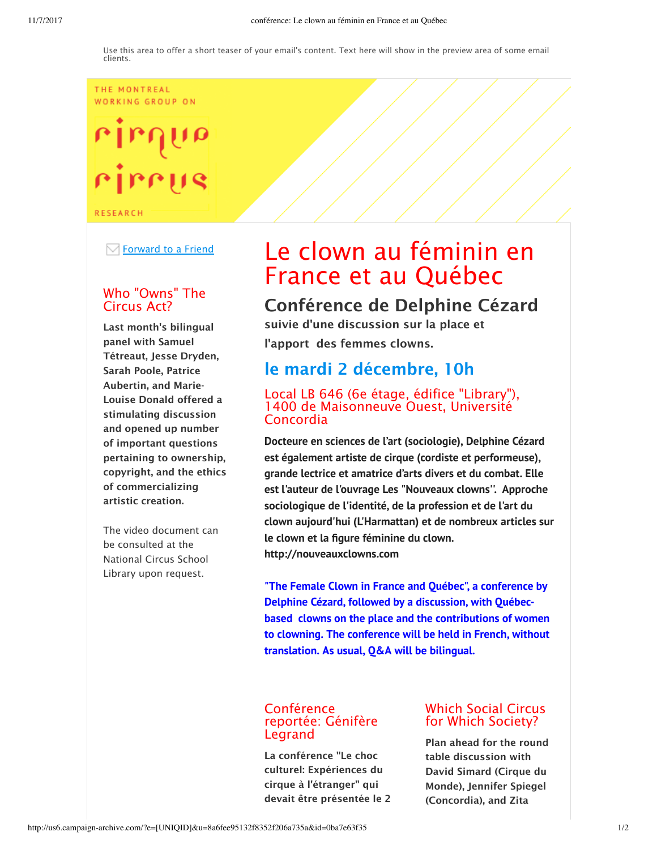### THE MONTREAL WORKING GROUP ON

# rirrus

**RESEARCH** 

 $\boxdot$  Forward to a Friend

# Who "Owns" The Circus Act?

Last month's bilingual panel with Samuel Tétreaut, Jesse Dryden, Sarah Poole, Patrice Aubertin, and Marie-Louise Donald offered a stimulating discussion and opened up number of important questions pertaining to ownership, copyright, and the ethics of commercializing artistic creation.

The video document can be consulted at the National Circus School Library upon request.

# Le clown au féminin en France et au Québec

Conférence de Delphine Cézard suivie d'une discussion sur la place et l'apport des femmes clowns.

# le mardi 2 décembre, 10h

# Local LB 646 (6e étage, édifice "Library"), 1400 de Maisonneuve Ouest, Université Concordia

**Docteure en sciences de l'art (sociologie), Delphine Cézard est également artiste de cirque (cordiste et performeuse), grande lectrice et amatrice d'arts divers et du combat. Elle est l'auteur de l'ouvrage Les "Nouveaux clowns''. Approche sociologique de l'identité, de la profession et de l'art du clown aujourd'hui (L'Harmattan) et de nombreux articles sur le clown et la figure féminine du clown. http://nouveauxclowns.com**

**"The Female Clown in France and Québec", a conference by Delphine Cézard, followed by a discussion, with Québecbased clowns on the place and the contributions of women to clowning. The conference will be held in French, without translation. As usual, Q&A will be bilingual.**

## **Conférence** reportée: Génifère Legrand

La conférence "Le choc culturel: Expériences du cirque à l'étranger" qui devait être présentée le 2

# Which Social Circus for Which Society?

Plan ahead for the round table discussion with David Simard (Cirque du Monde), Jennifer Spiegel (Concordia), and Zita